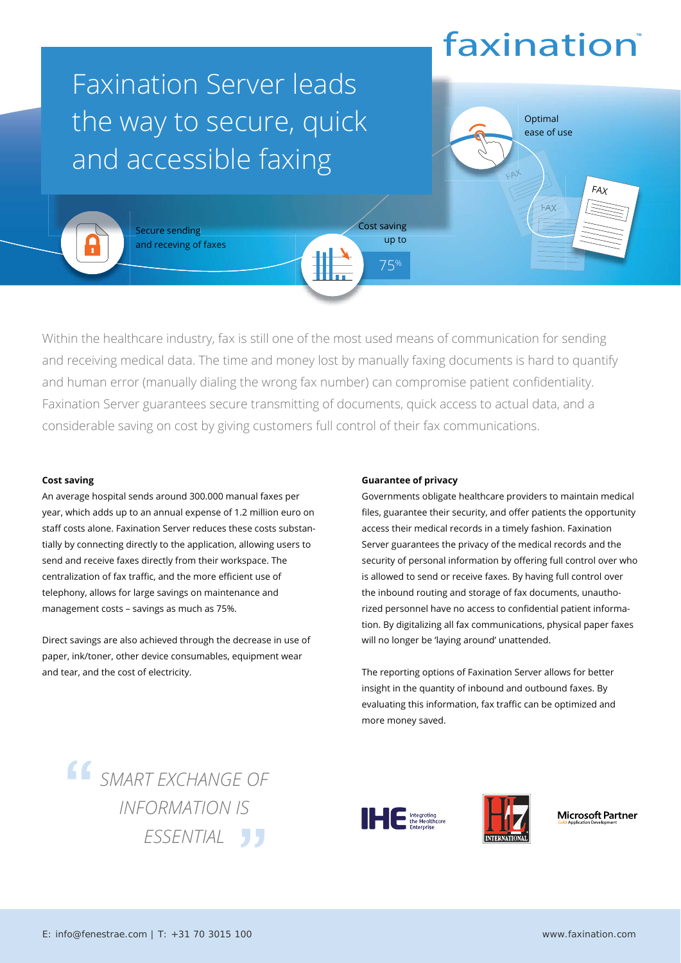# faxination<sup>®</sup>

 $\lambda$ 

Optimal<br>ease of u ease of use

FAX

FAX

### Faxination Server leads the way to secure, quick and accessible faxing



Secure sending **Secure sending Secure sending** and receving of faxes

Within the healthcare industry, fax is still one of the most used means of communication for sending and receiving medical data. The time and money lost by manually faxing documents is hard to quantify and human error (manually dialing the wrong fax number) can compromise patient confidentiality. Faxination Server guarantees secure transmitting of documents, quick access to actual data, and a considerable saving on cost by giving customers full control of their fax communications.

### **Cost saving**

An average hospital sends around 300.000 manual faxes per year, which adds up to an annual expense of 1.2 million euro on staff costs alone. Faxination Server reduces these costs substantially by connecting directly to the application, allowing users to send and receive faxes directly from their workspace. The centralization of fax traffic, and the more efficient use of telephony, allows for large savings on maintenance and management costs – savings as much as 75%.

Direct savings are also achieved through the decrease in use of paper, ink/toner, other device consumables, equipment wear and tear, and the cost of electricity.

### **Guarantee of privacy**

Cost saving up to

75%

Governments obligate healthcare providers to maintain medical files, guarantee their security, and offer patients the opportunity access their medical records in a timely fashion. Faxination Server guarantees the privacy of the medical records and the security of personal information by offering full control over who is allowed to send or receive faxes. By having full control over the inbound routing and storage of fax documents, unauthorized personnel have no access to confidential patient information. By digitalizing all fax communications, physical paper faxes will no longer be 'laying around' unattended.

The reporting options of Faxination Server allows for better insight in the quantity of inbound and outbound faxes. By evaluating this information, fax traffic can be optimized and more money saved.

*SMART EXCHANGE OF INFORMATION IS ESSENTIAL*





Microsoft Partner